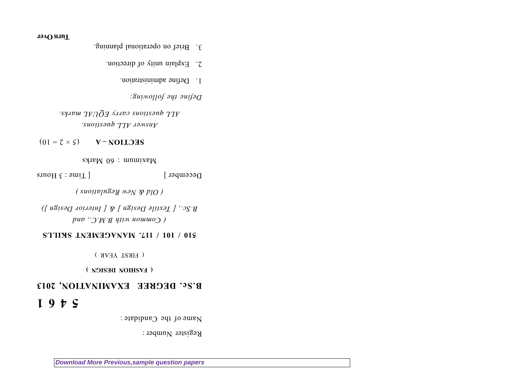Register Number :

Name of the Candidate :

## **5 4 6 1**

## **B.Sc. DEGREE EXAMINATION, 2013**

**( FASHION DESIGN )**

( FIRST YEAR )

## **510 / 101 / 117. MANAGEMENT SKILLS**

*( Common with B.M.C., and B.Sc., [ Textile Design ] & [ Interior Design ])*

*( Old & New Regulations )*

 $D$ ecember  $[$   $\lceil$   $\lceil$   $\lceil$   $\lceil$   $\lceil$   $\lceil$   $\lceil$   $\lceil$   $\lceil$   $\lceil$   $\lceil$   $\lceil$   $\lceil$   $\lceil$   $\lceil$   $\lceil$   $\lceil$   $\lceil$   $\lceil$   $\lceil$   $\lceil$   $\lceil$   $\lceil$   $\lceil$   $\lceil$   $\lceil$   $\lceil$   $\lceil$   $\lceil$   $\lceil$   $\lceil$   $\lceil$   $\lceil$   $\lceil$   $\$ 

 $\alpha$  Maximum : 60 Marks

## $V = \mathbf{U} \times \mathbf{S}$  **SECLION – V**

*Answer ALL questions. ALL questions carry EQUAL marks.*

*Define the following:*

- 1. Define administration.
- 
- 
- 
- 
- 2. Explain unity of direction.
- 
- 
- 3. Brief on operational planning.
- **Turn Over**